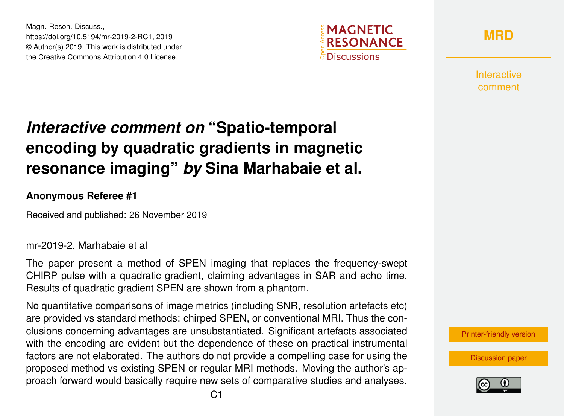Magn. Reson. Discuss., https://doi.org/10.5194/mr-2019-2-RC1, 2019 © Author(s) 2019. This work is distributed under the Creative Commons Attribution 4.0 License.



**[MRD](https://www.magn-reson-discuss.net/)**

Interactive comment

## *Interactive comment on* **"Spatio-temporal encoding by quadratic gradients in magnetic resonance imaging"** *by* **Sina Marhabaie et al.**

## **Anonymous Referee #1**

Received and published: 26 November 2019

## mr-2019-2, Marhabaie et al

The paper present a method of SPEN imaging that replaces the frequency-swept CHIRP pulse with a quadratic gradient, claiming advantages in SAR and echo time. Results of quadratic gradient SPEN are shown from a phantom.

No quantitative comparisons of image metrics (including SNR, resolution artefacts etc) are provided vs standard methods: chirped SPEN, or conventional MRI. Thus the conclusions concerning advantages are unsubstantiated. Significant artefacts associated with the encoding are evident but the dependence of these on practical instrumental factors are not elaborated. The authors do not provide a compelling case for using the proposed method vs existing SPEN or regular MRI methods. Moving the author's approach forward would basically require new sets of comparative studies and analyses.

[Printer-friendly version](https://www.magn-reson-discuss.net/mr-2019-2/mr-2019-2-RC1-print.pdf)

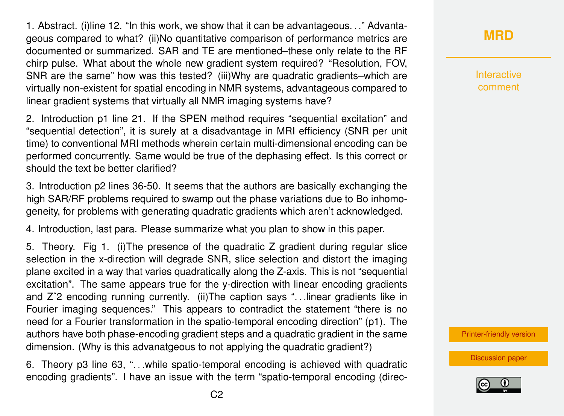1. Abstract. (i)line 12. "In this work, we show that it can be advantageous. . ." Advantageous compared to what? (ii)No quantitative comparison of performance metrics are documented or summarized. SAR and TE are mentioned–these only relate to the RF chirp pulse. What about the whole new gradient system required? "Resolution, FOV, SNR are the same" how was this tested? (iii)Why are quadratic gradients–which are virtually non-existent for spatial encoding in NMR systems, advantageous compared to linear gradient systems that virtually all NMR imaging systems have?

2. Introduction p1 line 21. If the SPEN method requires "sequential excitation" and "sequential detection", it is surely at a disadvantage in MRI efficiency (SNR per unit time) to conventional MRI methods wherein certain multi-dimensional encoding can be performed concurrently. Same would be true of the dephasing effect. Is this correct or should the text be better clarified?

3. Introduction p2 lines 36-50. It seems that the authors are basically exchanging the high SAR/RF problems required to swamp out the phase variations due to Bo inhomogeneity, for problems with generating quadratic gradients which aren't acknowledged.

4. Introduction, last para. Please summarize what you plan to show in this paper.

5. Theory. Fig 1. (i)The presence of the quadratic Z gradient during regular slice selection in the x-direction will degrade SNR, slice selection and distort the imaging plane excited in a way that varies quadratically along the Z-axis. This is not "sequential excitation". The same appears true for the y-direction with linear encoding gradients and Z<sup>o</sup>2 encoding running currently. (ii)The caption says "...linear gradients like in Fourier imaging sequences." This appears to contradict the statement "there is no need for a Fourier transformation in the spatio-temporal encoding direction" (p1). The authors have both phase-encoding gradient steps and a quadratic gradient in the same dimension. (Why is this advanatgeous to not applying the quadratic gradient?)

6. Theory p3 line 63, ". . .while spatio-temporal encoding is achieved with quadratic encoding gradients". I have an issue with the term "spatio-temporal encoding (direc**[MRD](https://www.magn-reson-discuss.net/)**

**Interactive** comment

[Printer-friendly version](https://www.magn-reson-discuss.net/mr-2019-2/mr-2019-2-RC1-print.pdf)

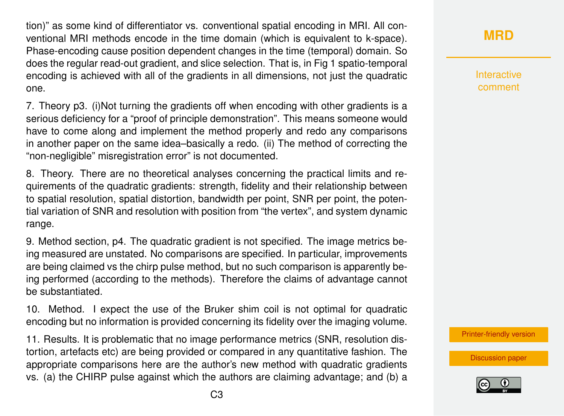tion)" as some kind of differentiator vs. conventional spatial encoding in MRI. All conventional MRI methods encode in the time domain (which is equivalent to k-space). Phase-encoding cause position dependent changes in the time (temporal) domain. So does the regular read-out gradient, and slice selection. That is, in Fig 1 spatio-temporal encoding is achieved with all of the gradients in all dimensions, not just the quadratic one.

7. Theory p3. (i)Not turning the gradients off when encoding with other gradients is a serious deficiency for a "proof of principle demonstration". This means someone would have to come along and implement the method properly and redo any comparisons in another paper on the same idea–basically a redo. (ii) The method of correcting the "non-negligible" misregistration error" is not documented.

8. Theory. There are no theoretical analyses concerning the practical limits and requirements of the quadratic gradients: strength, fidelity and their relationship between to spatial resolution, spatial distortion, bandwidth per point, SNR per point, the potential variation of SNR and resolution with position from "the vertex", and system dynamic range.

9. Method section, p4. The quadratic gradient is not specified. The image metrics being measured are unstated. No comparisons are specified. In particular, improvements are being claimed vs the chirp pulse method, but no such comparison is apparently being performed (according to the methods). Therefore the claims of advantage cannot be substantiated.

10. Method. I expect the use of the Bruker shim coil is not optimal for quadratic encoding but no information is provided concerning its fidelity over the imaging volume.

11. Results. It is problematic that no image performance metrics (SNR, resolution distortion, artefacts etc) are being provided or compared in any quantitative fashion. The appropriate comparisons here are the author's new method with quadratic gradients vs. (a) the CHIRP pulse against which the authors are claiming advantage; and (b) a **[MRD](https://www.magn-reson-discuss.net/)**

**Interactive** comment

[Printer-friendly version](https://www.magn-reson-discuss.net/mr-2019-2/mr-2019-2-RC1-print.pdf)